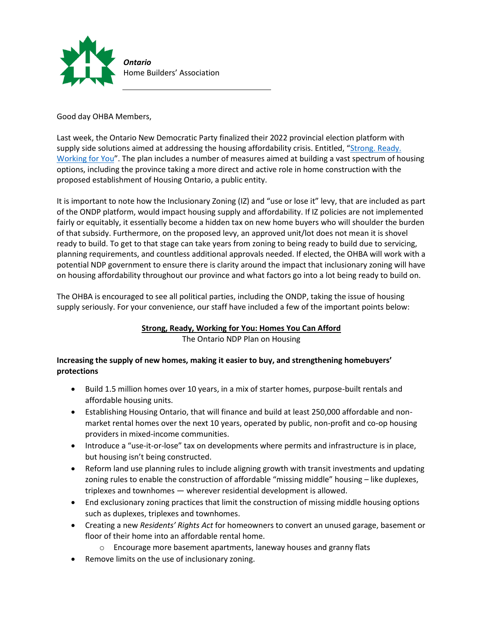

# Good day OHBA Members,

Last week, the Ontario New Democratic Party finalized their 2022 provincial election platform with supply side solutions aimed at addressing the housing affordability crisis. Entitled, "[Strong. Ready.](https://www.ontariondp.ca/sites/default/files/ondp_platform_booklet_bilingual_final_26apr_compressed.pdf)  [Working for You](https://www.ontariondp.ca/sites/default/files/ondp_platform_booklet_bilingual_final_26apr_compressed.pdf)". The plan includes a number of measures aimed at building a vast spectrum of housing options, including the province taking a more direct and active role in home construction with the proposed establishment of Housing Ontario, a public entity.

It is important to note how the Inclusionary Zoning (IZ) and "use or lose it" levy, that are included as part of the ONDP platform, would impact housing supply and affordability. If IZ policies are not implemented fairly or equitably, it essentially become a hidden tax on new home buyers who will shoulder the burden of that subsidy. Furthermore, on the proposed levy, an approved unit/lot does not mean it is shovel ready to build. To get to that stage can take years from zoning to being ready to build due to servicing, planning requirements, and countless additional approvals needed. If elected, the OHBA will work with a potential NDP government to ensure there is clarity around the impact that inclusionary zoning will have on housing affordability throughout our province and what factors go into a lot being ready to build on.

The OHBA is encouraged to see all political parties, including the ONDP, taking the issue of housing supply seriously. For your convenience, our staff have included a few of the important points below:

# **Strong, Ready, Working for You: Homes You Can Afford**

The Ontario NDP Plan on Housing

# **Increasing the supply of new homes, making it easier to buy, and strengthening homebuyers' protections**

- Build 1.5 million homes over 10 years, in a mix of starter homes, purpose-built rentals and affordable housing units.
- Establishing Housing Ontario, that will finance and build at least 250,000 affordable and nonmarket rental homes over the next 10 years, operated by public, non-profit and co-op housing providers in mixed-income communities.
- Introduce a "use-it-or-lose" tax on developments where permits and infrastructure is in place, but housing isn't being constructed.
- Reform land use planning rules to include aligning growth with transit investments and updating zoning rules to enable the construction of affordable "missing middle" housing – like duplexes, triplexes and townhomes — wherever residential development is allowed.
- End exclusionary zoning practices that limit the construction of missing middle housing options such as duplexes, triplexes and townhomes.
- Creating a new *Residents' Rights Act* for homeowners to convert an unused garage, basement or floor of their home into an affordable rental home.
	- o Encourage more basement apartments, laneway houses and granny flats
- Remove limits on the use of inclusionary zoning.